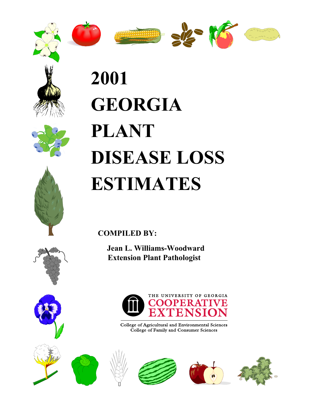











# **2001 GEORGIA PLANT DISEASE LOSS ESTIMATES**

**COMPILED BY:**

 **Jean L. Williams-Woodward Extension Plant Pathologist**









College of Agricultural and Environmental Sciences<br>College of Family and Consumer Sciences



THE UNIVERSITY OF GEORGIA

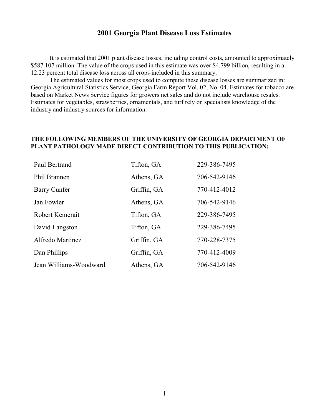#### **2001 Georgia Plant Disease Loss Estimates**

It is estimated that 2001 plant disease losses, including control costs, amounted to approximately \$587.107 million. The value of the crops used in this estimate was over \$4.799 billion, resulting in a 12.23 percent total disease loss across all crops included in this summary.

The estimated values for most crops used to compute these disease losses are summarized in: Georgia Agricultural Statistics Service, Georgia Farm Report Vol. 02, No. 04. Estimates for tobacco are based on Market News Service figures for growers net sales and do not include warehouse resales. Estimates for vegetables, strawberries, ornamentals, and turf rely on specialists knowledge of the industry and industry sources for information.

#### **THE FOLLOWING MEMBERS OF THE UNIVERSITY OF GEORGIA DEPARTMENT OF PLANT PATHOLOGY MADE DIRECT CONTRIBUTION TO THIS PUBLICATION:**

| Paul Bertrand          | Tifton, GA  | 229-386-7495 |
|------------------------|-------------|--------------|
| Phil Brannen           | Athens, GA  | 706-542-9146 |
| Barry Cunfer           | Griffin, GA | 770-412-4012 |
| Jan Fowler             | Athens, GA  | 706-542-9146 |
| Robert Kemerait        | Tifton, GA  | 229-386-7495 |
| David Langston         | Tifton, GA  | 229-386-7495 |
| Alfredo Martinez       | Griffin, GA | 770-228-7375 |
| Dan Phillips           | Griffin, GA | 770-412-4009 |
| Jean Williams-Woodward | Athens, GA  | 706-542-9146 |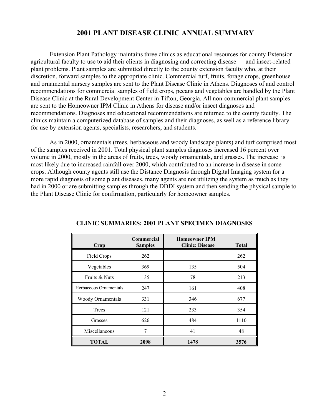#### **2001 PLANT DISEASE CLINIC ANNUAL SUMMARY**

Extension Plant Pathology maintains three clinics as educational resources for county Extension agricultural faculty to use to aid their clients in diagnosing and correcting disease — and insect-related plant problems. Plant samples are submitted directly to the county extension faculty who, at their discretion, forward samples to the appropriate clinic. Commercial turf, fruits, forage crops, greenhouse and ornamental nursery samples are sent to the Plant Disease Clinic in Athens. Diagnoses of and control recommendations for commercial samples of field crops, pecans and vegetables are handled by the Plant Disease Clinic at the Rural Development Center in Tifton, Georgia. All non-commercial plant samples are sent to the Homeowner IPM Clinic in Athens for disease and/or insect diagnoses and recommendations. Diagnoses and educational recommendations are returned to the county faculty. The clinics maintain a computerized database of samples and their diagnoses, as well as a reference library for use by extension agents, specialists, researchers, and students.

As in 2000, ornamentals (trees, herbaceous and woody landscape plants) and turf comprised most of the samples received in 2001. Total physical plant samples diagnoses increased 16 percent over volume in 2000, mostly in the areas of fruits, trees, woody ornamentals, and grasses. The increase is most likely due to increased rainfall over 2000, which contributed to an increase in disease in some crops. Although county agents still use the Distance Diagnosis through Digital Imaging system for a more rapid diagnosis of some plant diseases, many agents are not utilizing the system as much as they had in 2000 or are submitting samples through the DDDI system and then sending the physical sample to the Plant Disease Clinic for confirmation, particularly for homeowner samples.

| Crop                     | Commercial<br><b>Samples</b> | <b>Homeowner IPM</b><br><b>Clinic: Disease</b> | <b>Total</b> |
|--------------------------|------------------------------|------------------------------------------------|--------------|
| Field Crops              | 262                          |                                                | 262          |
| Vegetables               | 369                          | 135                                            | 504          |
| Fruits & Nuts            | 135                          | 78                                             | 213          |
| Herbaceous Ornamentals   | 247                          | 161                                            | 408          |
| <b>Woody Ornamentals</b> | 331                          | 346                                            | 677          |
| Trees                    | 121                          | 233                                            | 354          |
| Grasses                  | 626                          | 484                                            | 1110         |
| Miscellaneous            | 7                            | 41                                             | 48           |
| <b>TOTAL</b>             | 2098                         | 1478                                           | 3576         |

#### **CLINIC SUMMARIES: 2001 PLANT SPECIMEN DIAGNOSES**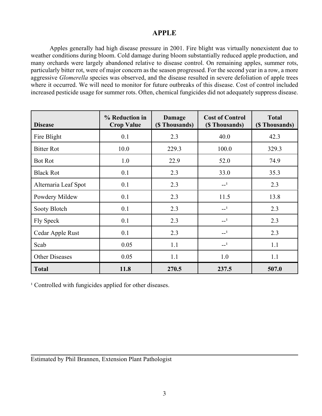### **APPLE**

Apples generally had high disease pressure in 2001. Fire blight was virtually nonexistent due to weather conditions during bloom. Cold damage during bloom substantially reduced apple production, and many orchards were largely abandoned relative to disease control. On remaining apples, summer rots, particularly bitter rot, were of major concern as the season progressed. For the second year in a row, a more aggressive *Glomerella* species was observed, and the disease resulted in severe defoliation of apple trees where it occurred. We will need to monitor for future outbreaks of this disease. Cost of control included increased pesticide usage for summer rots. Often, chemical fungicides did not adequately suppress disease.

| <b>Disease</b>        | % Reduction in<br><b>Crop Value</b> | Damage<br>(\$ Thousands) | <b>Cost of Control</b><br>(\$ Thousands) | <b>Total</b><br>(\$ Thousands) |
|-----------------------|-------------------------------------|--------------------------|------------------------------------------|--------------------------------|
| Fire Blight           | 0.1                                 | 2.3                      | 40.0                                     | 42.3                           |
| <b>Bitter Rot</b>     | 10.0                                | 229.3                    | 100.0                                    | 329.3                          |
| <b>Bot Rot</b>        | 1.0                                 | 22.9                     | 52.0                                     | 74.9                           |
| <b>Black Rot</b>      | 0.1                                 | 2.3                      | 33.0                                     | 35.3                           |
| Alternaria Leaf Spot  | 0.1                                 | 2.3                      | $-1$                                     | 2.3                            |
| Powdery Mildew        | 0.1                                 | 2.3                      | 11.5                                     | 13.8                           |
| Sooty Blotch          | 0.1                                 | 2.3                      | $-1$                                     | 2.3                            |
| Fly Speck             | 0.1                                 | 2.3                      | $-1$                                     | 2.3                            |
| Cedar Apple Rust      | 0.1                                 | 2.3                      | $-1$                                     | 2.3                            |
| Scab                  | 0.05                                | 1.1                      | $-1$                                     | 1.1                            |
| <b>Other Diseases</b> | 0.05                                | 1.1                      | 1.0                                      | 1.1                            |
| <b>Total</b>          | 11.8                                | 270.5                    | 237.5                                    | 507.0                          |

<sup>1</sup> Controlled with fungicides applied for other diseases.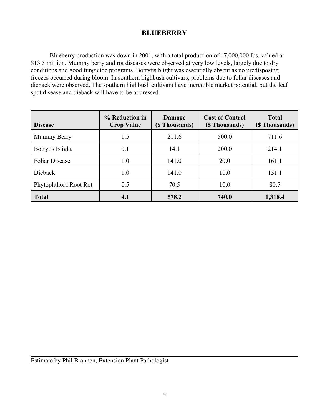# **BLUEBERRY**

Blueberry production was down in 2001, with a total production of 17,000,000 lbs. valued at \$13.5 million. Mummy berry and rot diseases were observed at very low levels, largely due to dry conditions and good fungicide programs. Botrytis blight was essentially absent as no predisposing freezes occurred during bloom. In southern highbush cultivars, problems due to foliar diseases and dieback were observed. The southern highbush cultivars have incredible market potential, but the leaf spot disease and dieback will have to be addressed.

| <b>Disease</b>         | % Reduction in<br><b>Crop Value</b> | Damage<br>(\$ Thousands) | <b>Cost of Control</b><br>(\$ Thousands) | <b>Total</b><br>(\$ Thousands) |
|------------------------|-------------------------------------|--------------------------|------------------------------------------|--------------------------------|
| Mummy Berry            | 1.5                                 | 211.6                    | 500.0                                    | 711.6                          |
| <b>Botrytis Blight</b> | 0.1                                 | 14.1                     | 200.0                                    | 214.1                          |
| <b>Foliar Disease</b>  | 1.0                                 | 141.0                    | 20.0                                     | 161.1                          |
| Dieback                | 1.0                                 | 141.0                    | 10.0                                     | 151.1                          |
| Phytophthora Root Rot  | 0.5                                 | 70.5                     | 10.0                                     | 80.5                           |
| <b>Total</b>           | 4.1                                 | 578.2                    | 740.0                                    | 1,318.4                        |

Estimate by Phil Brannen, Extension Plant Pathologist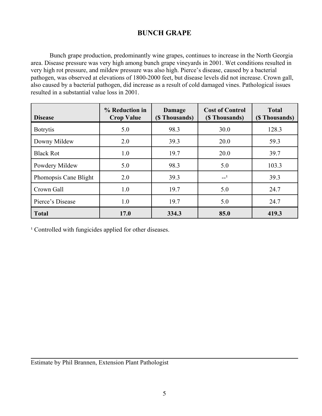# **BUNCH GRAPE**

Bunch grape production, predominantly wine grapes, continues to increase in the North Georgia area. Disease pressure was very high among bunch grape vineyards in 2001. Wet conditions resulted in very high rot pressure, and mildew pressure was also high. Pierce's disease, caused by a bacterial pathogen, was observed at elevations of 1800-2000 feet, but disease levels did not increase. Crown gall, also caused by a bacterial pathogen, did increase as a result of cold damaged vines. Pathological issues resulted in a substantial value loss in 2001.

| <b>Disease</b>        | % Reduction in<br><b>Crop Value</b> | Damage<br>(\$ Thousands) | <b>Cost of Control</b><br>(\$ Thousands) | <b>Total</b><br>(\$Thousands) |
|-----------------------|-------------------------------------|--------------------------|------------------------------------------|-------------------------------|
| <b>Botrytis</b>       | 5.0                                 | 98.3                     | 30.0                                     | 128.3                         |
| Downy Mildew          | 2.0                                 | 39.3                     | 20.0                                     | 59.3                          |
| <b>Black Rot</b>      | 1.0                                 | 19.7                     | 20.0                                     | 39.7                          |
| Powdery Mildew        | 5.0                                 | 98.3                     | 5.0                                      | 103.3                         |
| Phomopsis Cane Blight | 2.0                                 | 39.3                     | $-1$                                     | 39.3                          |
| Crown Gall            | 1.0                                 | 19.7                     | 5.0                                      | 24.7                          |
| Pierce's Disease      | 1.0                                 | 19.7                     | 5.0                                      | 24.7                          |
| <b>Total</b>          | 17.0                                | 334.3                    | 85.0                                     | 419.3                         |

<sup>1</sup> Controlled with fungicides applied for other diseases.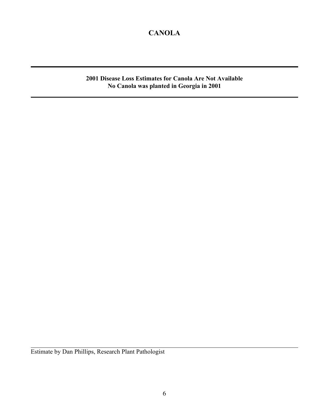# **CANOLA**

**2001 Disease Loss Estimates for Canola Are Not Available No Canola was planted in Georgia in 2001**

Estimate by Dan Phillips, Research Plant Pathologist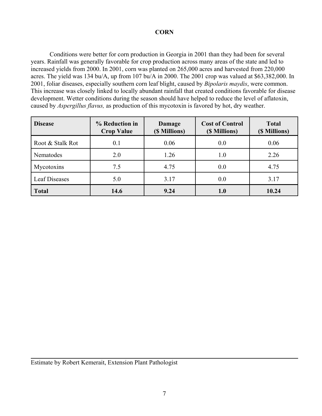#### **CORN**

Conditions were better for corn production in Georgia in 2001 than they had been for several years. Rainfall was generally favorable for crop production across many areas of the state and led to increased yields from 2000. In 2001, corn was planted on 265,000 acres and harvested from 220,000 acres. The yield was 134 bu/A, up from 107 bu/A in 2000. The 2001 crop was valued at \$63,382,000. In 2001, foliar diseases, especially southern corn leaf blight, caused by *Bipolaris maydis*, were common. This increase was closely linked to locally abundant rainfall that created conditions favorable for disease development. Wetter conditions during the season should have helped to reduce the level of aflatoxin, caused by *Aspergillus flavus,* as production of this mycotoxin is favored by hot, dry weather.

| <b>Disease</b>       | % Reduction in<br><b>Crop Value</b> | Damage<br>(\$ Millions) | <b>Cost of Control</b><br>(\$ Millions) | <b>Total</b><br>(\$ Millions) |
|----------------------|-------------------------------------|-------------------------|-----------------------------------------|-------------------------------|
| Root & Stalk Rot     | 0.1                                 | 0.06                    | 0.0                                     | 0.06                          |
| Nematodes            | 2.0                                 | 1.26                    | 1.0                                     | 2.26                          |
| Mycotoxins           | 7.5                                 | 4.75                    | 0.0                                     | 4.75                          |
| <b>Leaf Diseases</b> | 5.0                                 | 3.17                    | 0.0                                     | 3.17                          |
| <b>Total</b>         | 14.6                                | 9.24                    | 1.0                                     | 10.24                         |

Estimate by Robert Kemerait, Extension Plant Pathologist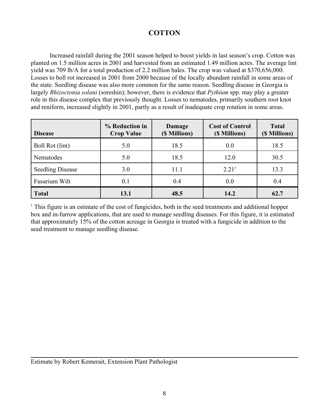# **COTTON**

Increased rainfall during the 2001 season helped to boost yields in last season's crop. Cotton was planted on 1.5 million acres in 2001 and harvested from an estimated 1.49 million acres. The average lint yield was 709 lb/A for a total production of 2.2 million bales. The crop was valued at \$370,656,000. Losses to boll rot increased in 2001 from 2000 because of the locally abundant rainfall in some areas of the state. Seedling disease was also more common for the same reason. Seedling disease in Georgia is largely *Rhizoctonia solani* (soreshin); however, there is evidence that *Pythium* spp. may play a greater role in this disease complex that previously thought. Losses to nematodes, primarily southern root knot and reniform, increased slightly in 2001, partly as a result of inadequate crop rotation in some areas.

| <b>Disease</b>          | % Reduction in<br><b>Crop Value</b> | Damage<br>(\$ Millions) | <b>Cost of Control</b><br>(\$ Millions) | <b>Total</b><br>(\$ Millions) |
|-------------------------|-------------------------------------|-------------------------|-----------------------------------------|-------------------------------|
| Boll Rot (lint)         | 5.0                                 | 18.5                    | 0.0                                     | 18.5                          |
| Nematodes               | 5.0                                 | 18.5                    | 12.0                                    | 30.5                          |
| <b>Seedling Disease</b> | 3.0                                 | 11.1                    | 2.21 <sup>1</sup>                       | 13.3                          |
| Fusarium Wilt           | 0.1                                 | 0.4                     | 0.0                                     | 0.4                           |
| <b>Total</b>            | 13.1                                | 48.5                    | 14.2                                    | 62.7                          |

 $1$ . This figure is an estimate of the cost of fungicides, both in the seed treatments and additional hopper box and in-furrow applications, that are used to manage seedling diseases. For this figure, it is estimated that approximately 15% of the cotton acreage in Georgia is treated with a fungicide in addition to the seed treatment to manage seedling disease.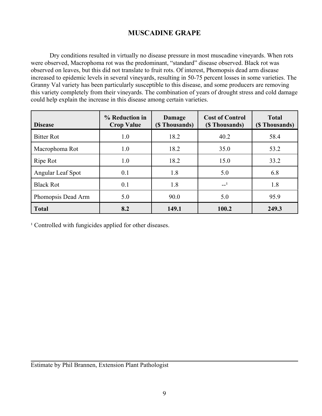# **MUSCADINE GRAPE**

Dry conditions resulted in virtually no disease pressure in most muscadine vineyards. When rots were observed, Macrophoma rot was the predominant, "standard" disease observed. Black rot was observed on leaves, but this did not translate to fruit rots. Of interest, Phomopsis dead arm disease increased to epidemic levels in several vineyards, resulting in 50-75 percent losses in some varieties. The Granny Val variety has been particularly susceptible to this disease, and some producers are removing this variety completely from their vineyards. The combination of years of drought stress and cold damage could help explain the increase in this disease among certain varieties.

| <b>Disease</b>     | % Reduction in<br><b>Crop Value</b> | Damage<br>(\$ Thousands) | <b>Cost of Control</b><br>(\$ Thousands) | <b>Total</b><br>(\$ Thousands) |
|--------------------|-------------------------------------|--------------------------|------------------------------------------|--------------------------------|
| <b>Bitter Rot</b>  | 1.0                                 | 18.2                     | 40.2                                     | 58.4                           |
| Macrophoma Rot     | 1.0                                 | 18.2                     | 35.0                                     | 53.2                           |
| Ripe Rot           | 1.0                                 | 18.2                     | 15.0                                     | 33.2                           |
| Angular Leaf Spot  | 0.1                                 | 1.8                      | 5.0                                      | 6.8                            |
| <b>Black Rot</b>   | 0.1                                 | 1.8                      | $-1$                                     | 1.8                            |
| Phomopsis Dead Arm | 5.0                                 | 90.0                     | 5.0                                      | 95.9                           |
| <b>Total</b>       | 8.2                                 | 149.1                    | 100.2                                    | 249.3                          |

<sup>1</sup> Controlled with fungicides applied for other diseases.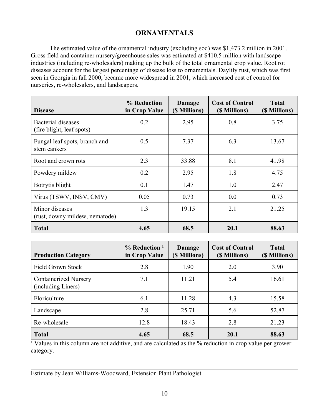# **ORNAMENTALS**

The estimated value of the ornamental industry (excluding sod) was \$1,473.2 million in 2001. Gross field and container nursery/greenhouse sales was estimated at \$410.5 million with landscape industries (including re-wholesalers) making up the bulk of the total ornamental crop value. Root rot diseases account for the largest percentage of disease loss to ornamentals. Daylily rust, which was first seen in Georgia in fall 2000, became more widespread in 2001, which increased cost of control for nurseries, re-wholesalers, and landscapers.

| <b>Disease</b>                                   | % Reduction<br>in Crop Value | Damage<br>(\$ Millions) | <b>Cost of Control</b><br>(\$ Millions) | <b>Total</b><br>(\$ Millions) |
|--------------------------------------------------|------------------------------|-------------------------|-----------------------------------------|-------------------------------|
| Bacterial diseases<br>(fire blight, leaf spots)  | 0.2                          | 2.95                    | 0.8                                     | 3.75                          |
| Fungal leaf spots, branch and<br>stem cankers    | 0.5                          | 7.37                    | 6.3                                     | 13.67                         |
| Root and crown rots                              | 2.3                          | 33.88                   | 8.1                                     | 41.98                         |
| Powdery mildew                                   | 0.2                          | 2.95                    | 1.8                                     | 4.75                          |
| Botrytis blight                                  | 0.1                          | 1.47                    | 1.0                                     | 2.47                          |
| Virus (TSWV, INSV, CMV)                          | 0.05                         | 0.73                    | 0.0                                     | 0.73                          |
| Minor diseases<br>(rust, downy mildew, nematode) | 1.3                          | 19.15                   | 2.1                                     | 21.25                         |
| <b>Total</b>                                     | 4.65                         | 68.5                    | 20.1                                    | 88.63                         |

| <b>Production Category</b>                         | $%$ Reduction <sup>1</sup><br>in Crop Value | Damage<br>(\$ Millions) | <b>Cost of Control</b><br>(\$ Millions) | <b>Total</b><br>(\$ Millions) |
|----------------------------------------------------|---------------------------------------------|-------------------------|-----------------------------------------|-------------------------------|
| <b>Field Grown Stock</b>                           | 2.8                                         | 1.90                    | 2.0                                     | 3.90                          |
| <b>Containerized Nursery</b><br>(including Liners) | 7.1                                         | 11.21                   | 5.4                                     | 16.61                         |
| Floriculture                                       | 6.1                                         | 11.28                   | 4.3                                     | 15.58                         |
| Landscape                                          | 2.8                                         | 25.71                   | 5.6                                     | 52.87                         |
| Re-wholesale                                       | 12.8                                        | 18.43                   | 2.8                                     | 21.23                         |
| <b>Total</b>                                       | 4.65                                        | 68.5                    | 20.1                                    | 88.63                         |

<sup>1</sup> Values in this column are not additive, and are calculated as the % reduction in crop value per grower category.

Estimate by Jean Williams-Woodward, Extension Plant Pathologist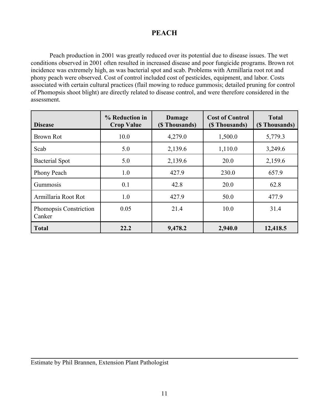## **PEACH**

Peach production in 2001 was greatly reduced over its potential due to disease issues. The wet conditions observed in 2001 often resulted in increased disease and poor fungicide programs. Brown rot incidence was extremely high, as was bacterial spot and scab. Problems with Armillaria root rot and phony peach were observed. Cost of control included cost of pesticides, equipment, and labor. Costs associated with certain cultural practices (flail mowing to reduce gummosis; detailed pruning for control of Phomopsis shoot blight) are directly related to disease control, and were therefore considered in the assessment.

| <b>Disease</b>                          | % Reduction in<br><b>Crop Value</b> | Damage<br>(\$ Thousands) | <b>Cost of Control</b><br>(\$ Thousands) | <b>Total</b><br>(\$ Thousands) |
|-----------------------------------------|-------------------------------------|--------------------------|------------------------------------------|--------------------------------|
| <b>Brown Rot</b>                        | 10.0                                | 4,279.0                  | 1,500.0                                  | 5,779.3                        |
| Scab                                    | 5.0                                 | 2,139.6                  | 1,110.0                                  | 3,249.6                        |
| <b>Bacterial Spot</b>                   | 5.0                                 | 2,139.6                  | 20.0                                     | 2,159.6                        |
| Phony Peach                             | 1.0                                 | 427.9                    | 230.0                                    | 657.9                          |
| Gummosis                                | 0.1                                 | 42.8                     | 20.0                                     | 62.8                           |
| Armillaria Root Rot                     | 1.0                                 | 427.9                    | 50.0                                     | 477.9                          |
| <b>Phomopsis Constriction</b><br>Canker | 0.05                                | 21.4                     | 10.0                                     | 31.4                           |
| <b>Total</b>                            | 22.2                                | 9,478.2                  | 2,940.0                                  | 12,418.5                       |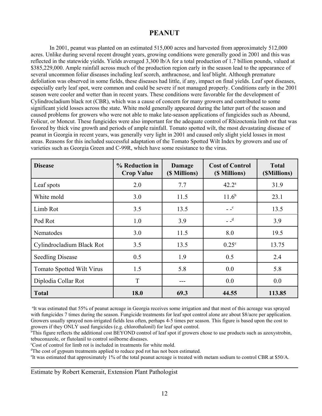### **PEANUT**

In 2001, peanut was planted on an estimated 515,000 acres and harvested from approximately 512,000 acres. Unlike during several recent drought years, growing conditions were generally good in 2001 and this was reflected in the statewide yields. Yields averaged 3,300 lb/A for a total production of 1.7 billion pounds, valued at \$385,229,000. Ample rainfall across much of the production region early in the season lead to the appearance of several uncommon foliar diseases including leaf scorch, anthracnose, and leaf blight. Although premature defoliation was observed in some fields, these diseases had little, if any, impact on final yields. Leaf spot diseases, especially early leaf spot, were common and could be severe if not managed properly. Conditions early in the 2001 season were cooler and wetter than in recent years. These conditions were favorable for the development of Cylindrocladium black rot (CBR), which was a cause of concern for many growers and contributed to some significant yield losses across the state. White mold generally appeared during the latter part of the season and caused problems for growers who were not able to make late-season applications of fungicides such as Abound, Folicur, or Moncut. These fungicides were also important for the adequate control of Rhizoctonia limb rot that was favored by thick vine growth and periods of ample rainfall. Tomato spotted wilt, the most devastating disease of peanut in Georgia in recent years, was generally very light in 2001 and caused only slight yield losses in most areas. Reasons for this included successful adaptation of the Tomato Spotted Wilt Index by growers and use of varieties such as Georgia Green and C-99R, which have some resistance to the virus.

| <b>Disease</b>            | % Reduction in<br><b>Crop Value</b> | Damage<br>(\$ Millions) | <b>Cost of Control</b><br>(\$ Millions) | <b>Total</b><br>(\$Millions) |
|---------------------------|-------------------------------------|-------------------------|-----------------------------------------|------------------------------|
| Leaf spots                | 2.0                                 | 7.7                     | $42.2^{\circ}$                          | 31.9                         |
| White mold                | 3.0                                 | 11.5                    | $11.6^{b}$                              | 23.1                         |
| Limb Rot                  | 3.5                                 | 13.5                    | $ -$ <sup>c</sup>                       | 13.5                         |
| Pod Rot                   | 1.0                                 | 3.9                     | $=$ $-$ <sup>d</sup>                    | 3.9                          |
| Nematodes                 | 3.0                                 | 11.5                    | 8.0                                     | 19.5                         |
| Cylindrocladium Black Rot | 3.5                                 | 13.5                    | $0.25^{\circ}$                          | 13.75                        |
| <b>Seedling Disease</b>   | 0.5                                 | 1.9                     | 0.5                                     | 2.4                          |
| Tomato Spotted Wilt Virus | 1.5                                 | 5.8                     | 0.0                                     | 5.8                          |
| Diplodia Collar Rot       | T                                   | ---                     | 0.0                                     | 0.0                          |
| <b>Total</b>              | 18.0                                | 69.3                    | 44.55                                   | 113.85                       |

<sup>a</sup>It was estimated that 55% of peanut acreage in Georgia receives some irrigation and that most of this acreage was sprayed with fungicides 7 times during the season. Fungicide treatments for leaf spot control alone are about \$8/acre per application. Growers usually sprayed non-irrigated fields less often, perhaps 4-5 times per season. This figure is based upon the cost to growers if they ONLY used fungicides (e.g. chlorothalonil) for leaf spot control.

<sup>b</sup>This figure reflects the additional cost BEYOND control of leaf spot if growers chose to use products such as azoxystrobin, tebuconazole, or flutolanil to control soilborne diseases.

<sup>c</sup>Cost of control for limb rot is included in treatments for white mold.

<sup>d</sup>The cost of gypsum treatments applied to reduce pod rot has not been estimated.

<sup>e</sup>It was estimated that approximately 1% of the total peanut acreage is treated with metam sodium to control CBR at \$50/A.

Estimate by Robert Kemerait, Extension Plant Pathologist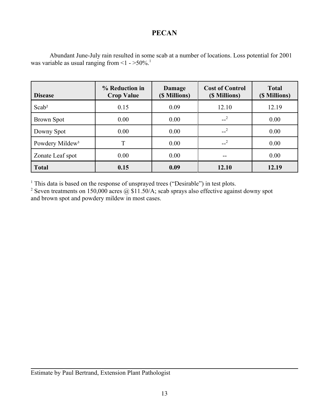# **PECAN**

| Abundant June-July rain resulted in some scab at a number of locations. Loss potential for 2001 |  |
|-------------------------------------------------------------------------------------------------|--|
| was variable as usual ranging from $\leq 1$ - $>50\%$ . <sup>1</sup>                            |  |

| <b>Disease</b>              | % Reduction in<br><b>Crop Value</b> | Damage<br>(\$ Millions) | <b>Cost of Control</b><br>(\$ Millions) | <b>Total</b><br>(\$ Millions) |
|-----------------------------|-------------------------------------|-------------------------|-----------------------------------------|-------------------------------|
| Scab <sup>2</sup>           | 0.15                                | 0.09                    | 12.10                                   | 12.19                         |
| <b>Brown Spot</b>           | 0.00                                | 0.00                    | $-2$                                    | 0.00                          |
| Downy Spot                  | 0.00                                | 0.00                    | $-2$                                    | 0.00                          |
| Powdery Mildew <sup>3</sup> | T                                   | 0.00                    | $-2$                                    | 0.00                          |
| Zonate Leaf spot            | 0.00                                | 0.00                    | --                                      | 0.00                          |
| <b>Total</b>                | 0.15                                | 0.09                    | 12.10                                   | 12.19                         |

<sup>1</sup> This data is based on the response of unsprayed trees ("Desirable") in test plots.

<sup>2</sup> Seven treatments on 150,000 acres  $\omega$  \$11.50/A; scab sprays also effective against downy spot and brown spot and powdery mildew in most cases.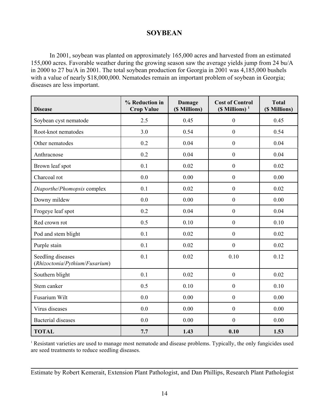#### **SOYBEAN**

In 2001, soybean was planted on approximately 165,000 acres and harvested from an estimated 155,000 acres. Favorable weather during the growing season saw the average yields jump from 24 bu/A in 2000 to 27 bu/A in 2001. The total soybean production for Georgia in 2001 was 4,185,000 bushels with a value of nearly \$18,000,000. Nematodes remain an important problem of soybean in Georgia; diseases are less important.

| <b>Disease</b>                                      | % Reduction in<br><b>Crop Value</b> | <b>Damage</b><br>(\$ Millions) | <b>Cost of Control</b><br>$(S$ Millions) <sup>1</sup> | <b>Total</b><br>(\$ Millions) |
|-----------------------------------------------------|-------------------------------------|--------------------------------|-------------------------------------------------------|-------------------------------|
| Soybean cyst nematode                               | 2.5                                 | 0.45                           | $\boldsymbol{0}$                                      | 0.45                          |
| Root-knot nematodes                                 | 3.0                                 | 0.54                           | $\boldsymbol{0}$                                      | 0.54                          |
| Other nematodes                                     | 0.2                                 | 0.04                           | $\boldsymbol{0}$                                      | 0.04                          |
| Anthracnose                                         | 0.2                                 | 0.04                           | $\boldsymbol{0}$                                      | 0.04                          |
| Brown leaf spot                                     | 0.1                                 | 0.02                           | $\boldsymbol{0}$                                      | 0.02                          |
| Charcoal rot                                        | 0.0                                 | 0.00                           | $\boldsymbol{0}$                                      | 0.00                          |
| Diaporthe/Phomopsis complex                         | 0.1                                 | 0.02                           | $\boldsymbol{0}$                                      | 0.02                          |
| Downy mildew                                        | 0.0                                 | 0.00                           | $\boldsymbol{0}$                                      | 0.00                          |
| Frogeye leaf spot                                   | 0.2                                 | 0.04                           | $\boldsymbol{0}$                                      | 0.04                          |
| Red crown rot                                       | 0.5                                 | 0.10                           | $\boldsymbol{0}$                                      | 0.10                          |
| Pod and stem blight                                 | 0.1                                 | 0.02                           | $\boldsymbol{0}$                                      | 0.02                          |
| Purple stain                                        | 0.1                                 | 0.02                           | $\boldsymbol{0}$                                      | 0.02                          |
| Seedling diseases<br>(Rhizoctonia/Pythium/Fusarium) | 0.1                                 | 0.02                           | 0.10                                                  | 0.12                          |
| Southern blight                                     | 0.1                                 | 0.02                           | $\boldsymbol{0}$                                      | 0.02                          |
| Stem canker                                         | 0.5                                 | 0.10                           | $\boldsymbol{0}$                                      | 0.10                          |
| Fusarium Wilt                                       | 0.0                                 | 0.00                           | $\overline{0}$                                        | 0.00                          |
| Virus diseases                                      | 0.0                                 | 0.00                           | $\boldsymbol{0}$                                      | 0.00                          |
| <b>Bacterial diseases</b>                           | 0.0                                 | 0.00                           | $\boldsymbol{0}$                                      | 0.00                          |
| <b>TOTAL</b>                                        | 7.7                                 | 1.43                           | 0.10                                                  | 1.53                          |

<sup>1</sup> Resistant varieties are used to manage most nematode and disease problems. Typically, the only fungicides used are seed treatments to reduce seedling diseases.

Estimate by Robert Kemerait, Extension Plant Pathologist, and Dan Phillips, Research Plant Pathologist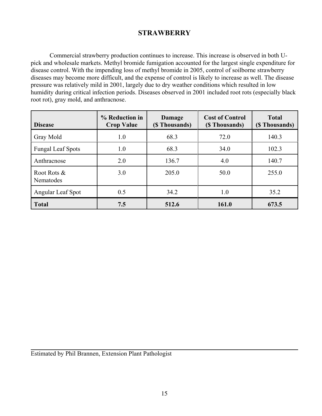# **STRAWBERRY**

 Commercial strawberry production continues to increase. This increase is observed in both Upick and wholesale markets. Methyl bromide fumigation accounted for the largest single expenditure for disease control. With the impending loss of methyl bromide in 2005, control of soilborne strawberry diseases may become more difficult, and the expense of control is likely to increase as well. The disease pressure was relatively mild in 2001, largely due to dry weather conditions which resulted in low humidity during critical infection periods. Diseases observed in 2001 included root rots (especially black root rot), gray mold, and anthracnose.

| <b>Disease</b>           | % Reduction in<br><b>Crop Value</b> | Damage<br>(\$ Thousands) | <b>Cost of Control</b><br>(\$ Thousands) | <b>Total</b><br>(\$ Thousands) |
|--------------------------|-------------------------------------|--------------------------|------------------------------------------|--------------------------------|
| Gray Mold                | 1.0                                 | 68.3                     | 72.0                                     | 140.3                          |
| <b>Fungal Leaf Spots</b> | 1.0                                 | 68.3                     | 34.0                                     | 102.3                          |
| Anthracnose              | 2.0                                 | 136.7                    | 4.0                                      | 140.7                          |
| Root Rots &<br>Nematodes | 3.0                                 | 205.0                    | 50.0                                     | 255.0                          |
| Angular Leaf Spot        | 0.5                                 | 34.2                     | 1.0                                      | 35.2                           |
| <b>Total</b>             | 7.5                                 | 512.6                    | 161.0                                    | 673.5                          |

Estimated by Phil Brannen, Extension Plant Pathologist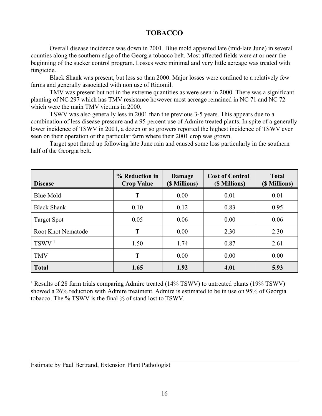### **TOBACCO**

Overall disease incidence was down in 2001. Blue mold appeared late (mid-late June) in several counties along the southern edge of the Georgia tobacco belt. Most affected fields were at or near the beginning of the sucker control program. Losses were minimal and very little acreage was treated with fungicide.

Black Shank was present, but less so than 2000. Major losses were confined to a relatively few farms and generally associated with non use of Ridomil.

TMV was present but not in the extreme quantities as were seen in 2000. There was a significant planting of NC 297 which has TMV resistance however most acreage remained in NC 71 and NC 72 which were the main TMV victims in 2000.

TSWV was also generally less in 2001 than the previous 3-5 years. This appears due to a combination of less disease pressure and a 95 percent use of Admire treated plants. In spite of a generally lower incidence of TSWV in 2001, a dozen or so growers reported the highest incidence of TSWV ever seen on their operation or the particular farm where their 2001 crop was grown.

Target spot flared up following late June rain and caused some loss particularly in the southern half of the Georgia belt.

| <b>Disease</b>            | % Reduction in<br><b>Crop Value</b> | Damage<br>(\$ Millions) | <b>Cost of Control</b><br>(\$ Millions) | <b>Total</b><br>(\$ Millions) |
|---------------------------|-------------------------------------|-------------------------|-----------------------------------------|-------------------------------|
| <b>Blue Mold</b>          | T                                   | 0.00                    | 0.01                                    | 0.01                          |
| <b>Black Shank</b>        | 0.10                                | 0.12                    | 0.83                                    | 0.95                          |
| <b>Target Spot</b>        | 0.05                                | 0.06                    | 0.00                                    | 0.06                          |
| <b>Root Knot Nematode</b> | T                                   | 0.00                    | 2.30                                    | 2.30                          |
| TSWV <sup>1</sup>         | 1.50                                | 1.74                    | 0.87                                    | 2.61                          |
| <b>TMV</b>                | T                                   | 0.00                    | 0.00                                    | 0.00                          |
| <b>Total</b>              | 1.65                                | 1.92                    | 4.01                                    | 5.93                          |

<sup>1</sup> Results of 28 farm trials comparing Admire treated (14% TSWV) to untreated plants (19% TSWV) showed a 26% reduction with Admire treatment. Admire is estimated to be in use on 95% of Georgia tobacco. The % TSWV is the final % of stand lost to TSWV.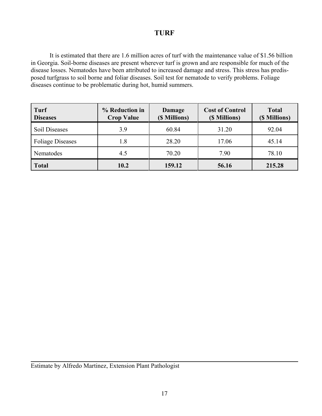### **TURF**

It is estimated that there are 1.6 million acres of turf with the maintenance value of \$1.56 billion in Georgia. Soil-borne diseases are present wherever turf is grown and are responsible for much of the disease losses. Nematodes have been attributed to increased damage and stress. This stress has predisposed turfgrass to soil borne and foliar diseases. Soil test for nematode to verify problems. Foliage diseases continue to be problematic during hot, humid summers.

| Turf<br><b>Diseases</b> | % Reduction in<br><b>Crop Value</b> | Damage<br>(\$ Millions) | <b>Cost of Control</b><br>(\$ Millions) | <b>Total</b><br>(\$ Millions) |
|-------------------------|-------------------------------------|-------------------------|-----------------------------------------|-------------------------------|
| Soil Diseases           | 3.9                                 | 60.84                   | 31.20                                   | 92.04                         |
| <b>Foliage Diseases</b> | 1.8                                 | 28.20                   | 17.06                                   | 45.14                         |
| Nematodes               | 4.5                                 | 70.20                   | 7.90                                    | 78.10                         |
| <b>Total</b>            | 10.2                                | 159.12                  | 56.16                                   | 215.28                        |

Estimate by Alfredo Martinez, Extension Plant Pathologist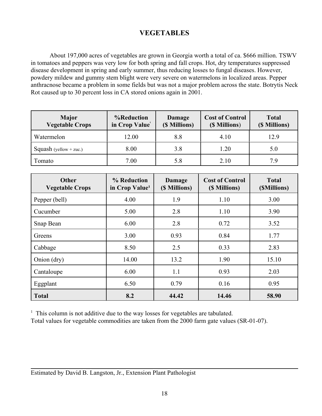# **VEGETABLES**

About 197,000 acres of vegetables are grown in Georgia worth a total of ca. \$666 million. TSWV in tomatoes and peppers was very low for both spring and fall crops. Hot, dry temperatures suppressed disease development in spring and early summer, thus reducing losses to fungal diseases. However, powdery mildew and gummy stem blight were very severe on watermelons in localized areas. Pepper anthracnose became a problem in some fields but was not a major problem across the state. Botrytis Neck Rot caused up to 30 percent loss in CA stored onions again in 2001.

| <b>Major</b><br><b>Vegetable Crops</b> | %Reduction<br>in Crop Value | <b>Cost of Control</b><br>Damage<br>(\$ Millions)<br>(\$ Millions) |      | <b>Total</b><br>(\$ Millions) |
|----------------------------------------|-----------------------------|--------------------------------------------------------------------|------|-------------------------------|
| Watermelon                             | 12.00                       | 8.8                                                                | 4.10 | 12.9                          |
| Squash (yellow + zuc.)                 | 8.00                        | 3.8                                                                | 1.20 | 5.0                           |
| Tomato                                 | 7.00                        |                                                                    | 2.10 | 7.9                           |

| <b>Other</b><br><b>Vegetable Crops</b> | % Reduction<br>in Crop Value <sup>1</sup> | Damage<br>(\$ Millions) | <b>Cost of Control</b><br>(\$ Millions) | <b>Total</b><br>(\$Millions) |
|----------------------------------------|-------------------------------------------|-------------------------|-----------------------------------------|------------------------------|
| Pepper (bell)                          | 4.00                                      | 1.9                     | 1.10                                    | 3.00                         |
| Cucumber                               | 5.00                                      | 2.8                     | 1.10                                    | 3.90                         |
| Snap Bean                              | 6.00                                      | 2.8                     | 0.72                                    | 3.52                         |
| Greens                                 | 3.00                                      | 0.93                    | 0.84                                    | 1.77                         |
| Cabbage                                | 8.50                                      | 2.5                     | 0.33                                    | 2.83                         |
| Onion (dry)                            | 14.00                                     | 13.2                    | 1.90                                    | 15.10                        |
| Cantaloupe                             | 6.00                                      | 1.1                     | 0.93                                    | 2.03                         |
| Eggplant                               | 6.50                                      | 0.79                    | 0.16                                    | 0.95                         |
| <b>Total</b>                           | 8.2                                       | 44.42                   | 14.46                                   | 58.90                        |

<sup>1</sup> This column is not additive due to the way losses for vegetables are tabulated.

Total values for vegetable commodities are taken from the 2000 farm gate values (SR-01-07).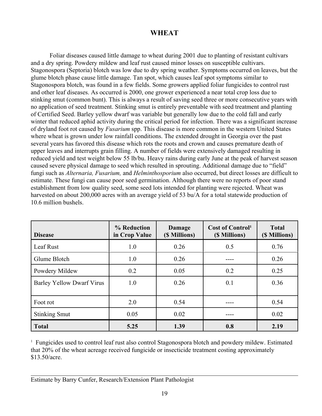# **WHEAT**

Foliar diseases caused little damage to wheat during 2001 due to planting of resistant cultivars and a dry spring. Powdery mildew and leaf rust caused minor losses on susceptible cultivars. Stagonospora (Septoria) blotch was low due to dry spring weather. Symptoms occurred on leaves, but the glume blotch phase cause little damage. Tan spot, which causes leaf spot symptoms similar to Stagonospora blotch, was found in a few fields. Some growers applied foliar fungicides to control rust and other leaf diseases. As occurred is 2000, one grower experienced a near total crop loss due to stinking smut (common bunt). This is always a result of saving seed three or more consecutive years with no application of seed treatment. Stinking smut is entirely preventable with seed treatment and planting of Certified Seed. Barley yellow dwarf was variable but generally low due to the cold fall and early winter that reduced aphid activity during the critical period for infection. There was a significant increase of dryland foot rot caused by *Fusarium* spp. This disease is more common in the western United States where wheat is grown under low rainfall conditions. The extended drought in Georgia over the past several years has favored this disease which rots the roots and crown and causes premature death of upper leaves and interrupts grain filling. A number of fields were extensively damaged resulting in reduced yield and test weight below 55 lb/bu. Heavy rains during early June at the peak of harvest season caused severe physical damage to seed which resulted in sprouting. Additional damage due to "field" fungi such as *Alternaria, Fusarium,* and *Helminthosporium* also occurred, but direct losses are difficult to estimate. These fungi can cause poor seed germination. Although there were no reports of poor stand establishment from low quality seed, some seed lots intended for planting were rejected. Wheat was harvested on about 200,000 acres with an average yield of 53 bu/A for a total statewide production of 10.6 million bushels.

| <b>Disease</b>                   | % Reduction<br>in Crop Value | <b>Cost of Control</b> <sup>1</sup><br><b>Damage</b><br>(\$ Millions)<br>(\$ Millions) |     | <b>Total</b><br>(\$ Millions) |
|----------------------------------|------------------------------|----------------------------------------------------------------------------------------|-----|-------------------------------|
| Leaf Rust                        | 1.0                          | 0.26                                                                                   | 0.5 | 0.76                          |
| Glume Blotch                     | 1.0                          | 0.26                                                                                   |     | 0.26                          |
| Powdery Mildew                   | 0.2                          | 0.05                                                                                   | 0.2 | 0.25                          |
| <b>Barley Yellow Dwarf Virus</b> | 1.0                          | 0.26                                                                                   | 0.1 | 0.36                          |
| Foot rot                         | 2.0                          | 0.54                                                                                   |     | 0.54                          |
| <b>Stinking Smut</b>             | 0.05                         | 0.02                                                                                   |     | 0.02                          |
| <b>Total</b>                     | 5.25                         | 1.39                                                                                   | 0.8 | 2.19                          |

<sup>1</sup> Fungicides used to control leaf rust also control Stagonospora blotch and powdery mildew. Estimated that 20% of the wheat acreage received fungicide or insecticide treatment costing approximately \$13.50/acre.

Estimate by Barry Cunfer, Research/Extension Plant Pathologist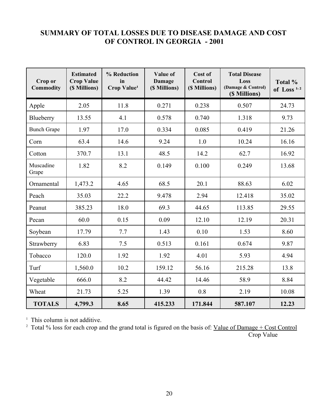# **SUMMARY OF TOTAL LOSSES DUE TO DISEASE DAMAGE AND COST OF CONTROL IN GEORGIA - 2001**

| Crop or<br><b>Commodity</b> | <b>Estimated</b><br><b>Crop Value</b><br>(\$ Millions) | % Reduction<br>in<br><b>Crop Value</b> <sup>1</sup> | Value of<br><b>Damage</b><br>(\$ Millions) | Cost of<br><b>Control</b><br>(\$ Millions) | <b>Total Disease</b><br>Loss<br>(Damage & Control)<br>(\$ Millions) | Total %<br>of Loss <sup><math>1,2</math></sup> |
|-----------------------------|--------------------------------------------------------|-----------------------------------------------------|--------------------------------------------|--------------------------------------------|---------------------------------------------------------------------|------------------------------------------------|
| Apple                       | 2.05                                                   | 11.8                                                | 0.271                                      | 0.238                                      | 0.507                                                               | 24.73                                          |
| Blueberry                   | 13.55                                                  | 4.1                                                 | 0.578                                      | 0.740                                      | 1.318                                                               | 9.73                                           |
| <b>Bunch Grape</b>          | 1.97                                                   | 17.0                                                | 0.334                                      | 0.085                                      | 0.419                                                               | 21.26                                          |
| Corn                        | 63.4                                                   | 14.6                                                | 9.24                                       | 1.0                                        | 10.24                                                               | 16.16                                          |
| Cotton                      | 370.7                                                  | 13.1                                                | 48.5                                       | 14.2                                       | 62.7                                                                | 16.92                                          |
| Muscadine<br>Grape          | 1.82                                                   | 8.2                                                 | 0.149                                      | 0.100                                      | 0.249                                                               | 13.68                                          |
| Ornamental                  | 1,473.2                                                | 4.65                                                | 68.5                                       | 20.1                                       | 88.63                                                               | 6.02                                           |
| Peach                       | 35.03                                                  | 22.2                                                | 9.478                                      | 2.94                                       | 12.418                                                              | 35.02                                          |
| Peanut                      | 385.23                                                 | 18.0                                                | 69.3                                       | 44.65                                      | 113.85                                                              | 29.55                                          |
| Pecan                       | 60.0                                                   | 0.15                                                | 0.09                                       | 12.10                                      | 12.19                                                               | 20.31                                          |
| Soybean                     | 17.79                                                  | 7.7                                                 | 1.43                                       | 0.10                                       | 1.53                                                                | 8.60                                           |
| Strawberry                  | 6.83                                                   | 7.5                                                 | 0.513                                      | 0.161                                      | 0.674                                                               | 9.87                                           |
| Tobacco                     | 120.0                                                  | 1.92                                                | 1.92                                       | 4.01                                       | 5.93                                                                | 4.94                                           |
| Turf                        | 1,560.0                                                | 10.2                                                | 159.12                                     | 56.16                                      | 215.28                                                              | 13.8                                           |
| Vegetable                   | 666.0                                                  | 8.2                                                 | 44.42                                      | 14.46                                      | 58.9                                                                | 8.84                                           |
| Wheat                       | 21.73                                                  | 5.25                                                | 1.39                                       | 0.8                                        | 2.19                                                                | 10.08                                          |
| <b>TOTALS</b>               | 4,799.3                                                | 8.65                                                | 415.233                                    | 171.844                                    | 587.107                                                             | 12.23                                          |

<sup>1</sup> This column is not additive.

<sup>2</sup> Total % loss for each crop and the grand total is figured on the basis of: <u>Value of Damage + Cost Control</u> Crop Value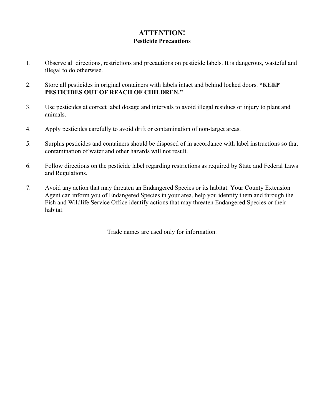### **ATTENTION! Pesticide Precautions**

- 1. Observe all directions, restrictions and precautions on pesticide labels. It is dangerous, wasteful and illegal to do otherwise.
- 2. Store all pesticides in original containers with labels intact and behind locked doors. **"KEEP PESTICIDES OUT OF REACH OF CHILDREN."**
- 3. Use pesticides at correct label dosage and intervals to avoid illegal residues or injury to plant and animals.
- 4. Apply pesticides carefully to avoid drift or contamination of non-target areas.
- 5. Surplus pesticides and containers should be disposed of in accordance with label instructions so that contamination of water and other hazards will not result.
- 6. Follow directions on the pesticide label regarding restrictions as required by State and Federal Laws and Regulations.
- 7. Avoid any action that may threaten an Endangered Species or its habitat. Your County Extension Agent can inform you of Endangered Species in your area, help you identify them and through the Fish and Wildlife Service Office identify actions that may threaten Endangered Species or their habitat.

Trade names are used only for information.